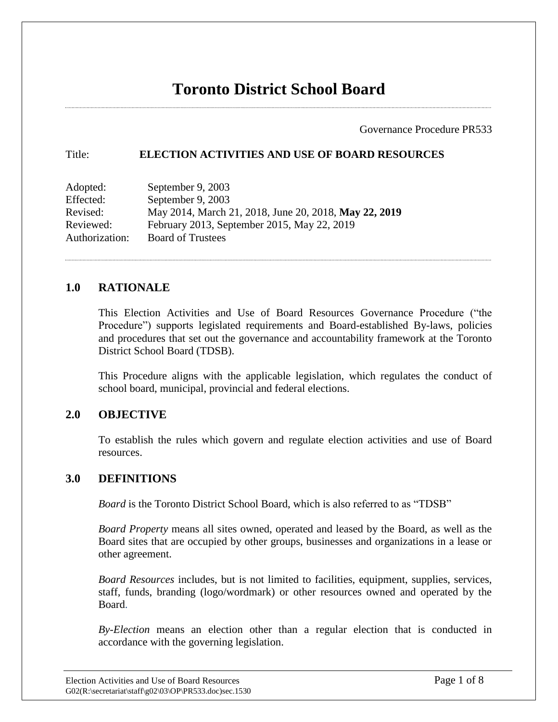Governance Procedure PR533

#### Title: **ELECTION ACTIVITIES AND USE OF BOARD RESOURCES**

| Adopted:       | September 9, 2003                                     |
|----------------|-------------------------------------------------------|
| Effected:      | September 9, 2003                                     |
| Revised:       | May 2014, March 21, 2018, June 20, 2018, May 22, 2019 |
| Reviewed:      | February 2013, September 2015, May 22, 2019           |
| Authorization: | <b>Board of Trustees</b>                              |

## **1.0 RATIONALE**

This Election Activities and Use of Board Resources Governance Procedure ("the Procedure") supports legislated requirements and Board-established By-laws, policies and procedures that set out the governance and accountability framework at the Toronto District School Board (TDSB).

This Procedure aligns with the applicable legislation, which regulates the conduct of school board, municipal, provincial and federal elections.

## **2.0 OBJECTIVE**

To establish the rules which govern and regulate election activities and use of Board resources.

## **3.0 DEFINITIONS**

*Board* is the Toronto District School Board, which is also referred to as "TDSB"

*Board Property* means all sites owned, operated and leased by the Board, as well as the Board sites that are occupied by other groups, businesses and organizations in a lease or other agreement.

*Board Resources* includes, but is not limited to facilities, equipment, supplies, services, staff, funds, branding (logo/wordmark) or other resources owned and operated by the Board.

*By-Election* means an election other than a regular election that is conducted in accordance with the governing legislation.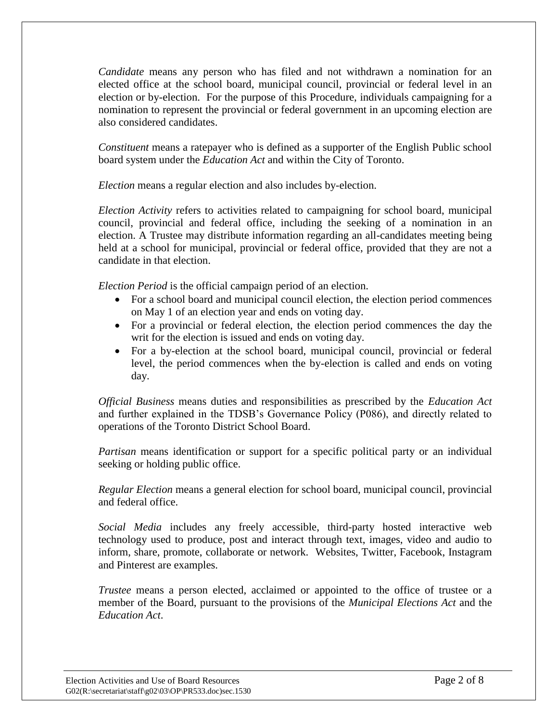*Candidate* means any person who has filed and not withdrawn a nomination for an elected office at the school board, municipal council, provincial or federal level in an election or by-election. For the purpose of this Procedure, individuals campaigning for a nomination to represent the provincial or federal government in an upcoming election are also considered candidates.

*Constituent* means a ratepayer who is defined as a supporter of the English Public school board system under the *Education Act* and within the City of Toronto.

*Election* means a regular election and also includes by-election.

*Election Activity* refers to activities related to campaigning for school board, municipal council, provincial and federal office, including the seeking of a nomination in an election. A Trustee may distribute information regarding an all-candidates meeting being held at a school for municipal, provincial or federal office, provided that they are not a candidate in that election.

*Election Period* is the official campaign period of an election.

- For a school board and municipal council election, the election period commences on May 1 of an election year and ends on voting day.
- For a provincial or federal election, the election period commences the day the writ for the election is issued and ends on voting day*.*
- For a by*-*election at the school board, municipal council, provincial or federal level, the period commences when the by-election is called and ends on voting day.

*Official Business* means duties and responsibilities as prescribed by the *Education Act* and further explained in the TDSB's Governance Policy (P086), and directly related to operations of the Toronto District School Board.

*Partisan* means identification or support for a specific political party or an individual seeking or holding public office.

*Regular Election* means a general election for school board, municipal council, provincial and federal office.

*Social Media* includes any freely accessible, third-party hosted interactive web technology used to produce, post and interact through text, images, video and audio to inform, share, promote, collaborate or network. Websites, Twitter, Facebook, Instagram and Pinterest are examples.

*Trustee* means a person elected, acclaimed or appointed to the office of trustee or a member of the Board, pursuant to the provisions of the *Municipal Elections Act* and the *Education Act*.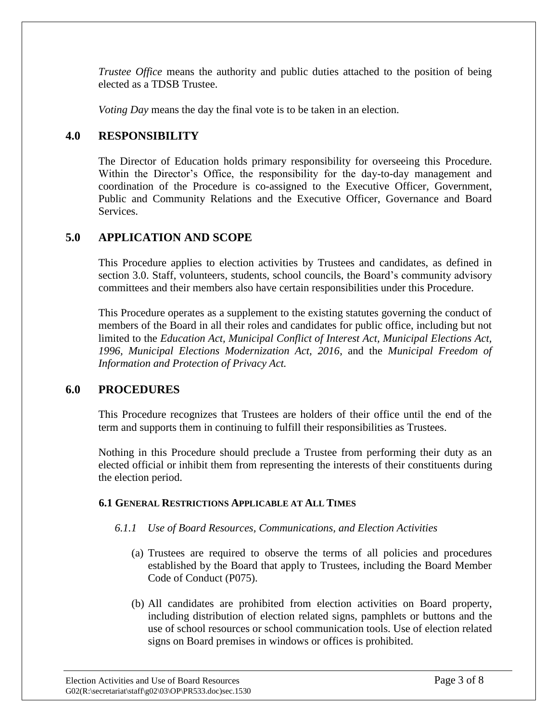*Trustee Office* means the authority and public duties attached to the position of being elected as a TDSB Trustee.

*Voting Day* means the day the final vote is to be taken in an election.

# **4.0 RESPONSIBILITY**

The Director of Education holds primary responsibility for overseeing this Procedure. Within the Director's Office, the responsibility for the day-to-day management and coordination of the Procedure is co-assigned to the Executive Officer, Government, Public and Community Relations and the Executive Officer, Governance and Board Services.

# **5.0 APPLICATION AND SCOPE**

This Procedure applies to election activities by Trustees and candidates, as defined in section 3.0. Staff, volunteers, students, school councils, the Board's community advisory committees and their members also have certain responsibilities under this Procedure.

This Procedure operates as a supplement to the existing statutes governing the conduct of members of the Board in all their roles and candidates for public office, including but not limited to the *Education Act, Municipal Conflict of Interest Act, Municipal Elections Act, 1996, Municipal Elections Modernization Act, 2016*, and the *Municipal Freedom of Information and Protection of Privacy Act.*

# **6.0 PROCEDURES**

This Procedure recognizes that Trustees are holders of their office until the end of the term and supports them in continuing to fulfill their responsibilities as Trustees.

Nothing in this Procedure should preclude a Trustee from performing their duty as an elected official or inhibit them from representing the interests of their constituents during the election period.

## **6.1 GENERAL RESTRICTIONS APPLICABLE AT ALL TIMES**

# *6.1.1 Use of Board Resources, Communications, and Election Activities*

- (a) Trustees are required to observe the terms of all policies and procedures established by the Board that apply to Trustees, including the Board Member Code of Conduct (P075).
- (b) All candidates are prohibited from election activities on Board property, including distribution of election related signs, pamphlets or buttons and the use of school resources or school communication tools. Use of election related signs on Board premises in windows or offices is prohibited.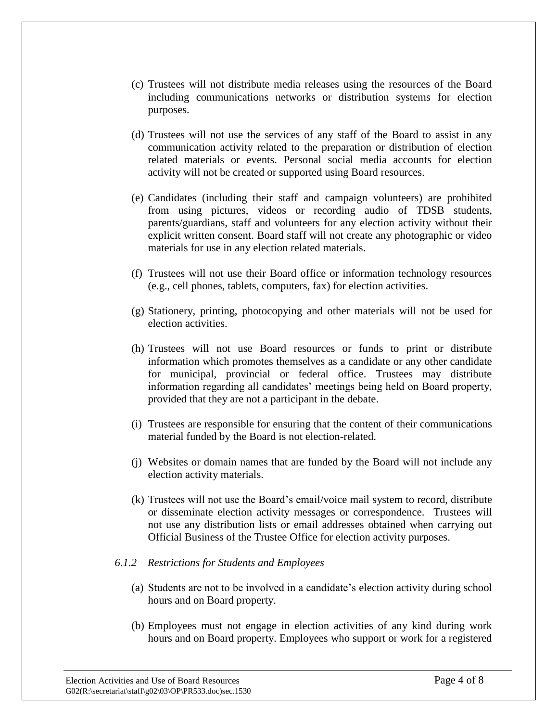- (c) Trustees will not distribute media releases using the resources of the Board including communications networks or distribution systems for election purposes.
- (d) Trustees will not use the services of any staff of the Board to assist in any communication activity related to the preparation or distribution of election related materials or events. Personal social media accounts for election activity will not be created or supported using Board resources.
- (e) Candidates (including their staff and campaign volunteers) are prohibited from using pictures, videos or recording audio of TDSB students, parents/guardians, staff and volunteers for any election activity without their explicit written consent. Board staff will not create any photographic or video materials for use in any election related materials.
- (f) Trustees will not use their Board office or information technology resources (e.g., cell phones, tablets, computers, fax) for election activities.
- (g) Stationery, printing, photocopying and other materials will not be used for election activities.
- (h) Trustees will not use Board resources or funds to print or distribute information which promotes themselves as a candidate or any other candidate for municipal, provincial or federal office. Trustees may distribute information regarding all candidates' meetings being held on Board property, provided that they are not a participant in the debate.
- (i) Trustees are responsible for ensuring that the content of their communications material funded by the Board is not election-related.
- (j) Websites or domain names that are funded by the Board will not include any election activity materials.
- (k) Trustees will not use the Board's email/voice mail system to record, distribute or disseminate election activity messages or correspondence. Trustees will not use any distribution lists or email addresses obtained when carrying out Official Business of the Trustee Office for election activity purposes.

#### *6.1.2 Restrictions for Students and Employees*

- (a) Students are not to be involved in a candidate's election activity during school hours and on Board property.
- (b) Employees must not engage in election activities of any kind during work hours and on Board property. Employees who support or work for a registered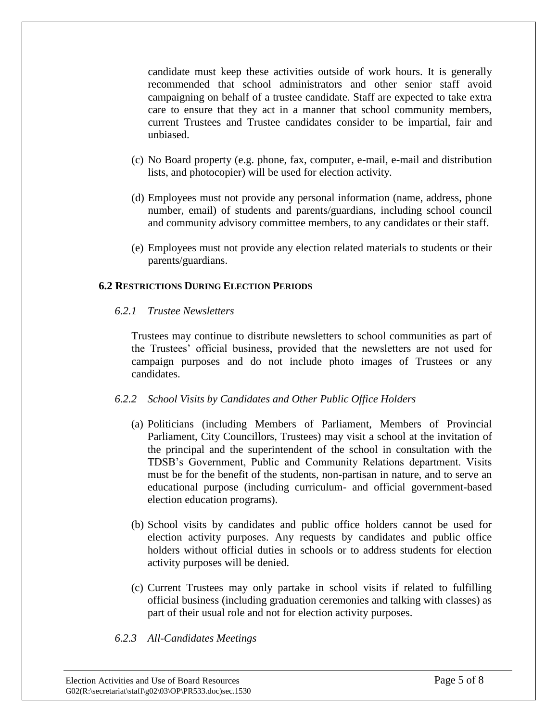candidate must keep these activities outside of work hours. It is generally recommended that school administrators and other senior staff avoid campaigning on behalf of a trustee candidate. Staff are expected to take extra care to ensure that they act in a manner that school community members, current Trustees and Trustee candidates consider to be impartial, fair and unbiased.

- (c) No Board property (e.g. phone, fax, computer, e-mail, e-mail and distribution lists, and photocopier) will be used for election activity.
- (d) Employees must not provide any personal information (name, address, phone number, email) of students and parents/guardians, including school council and community advisory committee members, to any candidates or their staff.
- (e) Employees must not provide any election related materials to students or their parents/guardians.

### **6.2 RESTRICTIONS DURING ELECTION PERIODS**

### *6.2.1 Trustee Newsletters*

Trustees may continue to distribute newsletters to school communities as part of the Trustees' official business, provided that the newsletters are not used for campaign purposes and do not include photo images of Trustees or any candidates.

## *6.2.2 School Visits by Candidates and Other Public Office Holders*

- (a) Politicians (including Members of Parliament, Members of Provincial Parliament, City Councillors, Trustees) may visit a school at the invitation of the principal and the superintendent of the school in consultation with the TDSB's Government, Public and Community Relations department. Visits must be for the benefit of the students, non-partisan in nature, and to serve an educational purpose (including curriculum- and official government-based election education programs).
- (b) School visits by candidates and public office holders cannot be used for election activity purposes. Any requests by candidates and public office holders without official duties in schools or to address students for election activity purposes will be denied.
- (c) Current Trustees may only partake in school visits if related to fulfilling official business (including graduation ceremonies and talking with classes) as part of their usual role and not for election activity purposes.

#### *6.2.3 All-Candidates Meetings*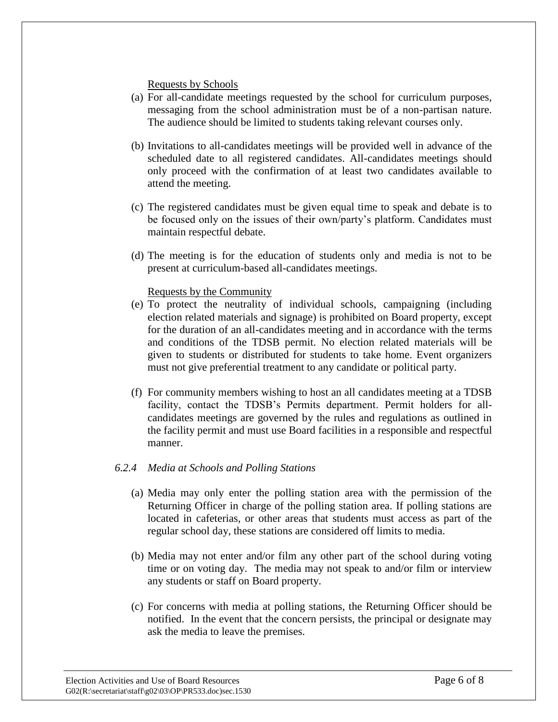Requests by Schools

- (a) For all-candidate meetings requested by the school for curriculum purposes, messaging from the school administration must be of a non-partisan nature. The audience should be limited to students taking relevant courses only.
- (b) Invitations to all-candidates meetings will be provided well in advance of the scheduled date to all registered candidates. All-candidates meetings should only proceed with the confirmation of at least two candidates available to attend the meeting.
- (c) The registered candidates must be given equal time to speak and debate is to be focused only on the issues of their own/party's platform. Candidates must maintain respectful debate.
- (d) The meeting is for the education of students only and media is not to be present at curriculum-based all-candidates meetings.

Requests by the Community

- (e) To protect the neutrality of individual schools, campaigning (including election related materials and signage) is prohibited on Board property, except for the duration of an all-candidates meeting and in accordance with the terms and conditions of the TDSB permit. No election related materials will be given to students or distributed for students to take home. Event organizers must not give preferential treatment to any candidate or political party.
- (f) For community members wishing to host an all candidates meeting at a TDSB facility, contact the TDSB's Permits department. Permit holders for allcandidates meetings are governed by the rules and regulations as outlined in the facility permit and must use Board facilities in a responsible and respectful manner.

#### *6.2.4 Media at Schools and Polling Stations*

- (a) Media may only enter the polling station area with the permission of the Returning Officer in charge of the polling station area. If polling stations are located in cafeterias, or other areas that students must access as part of the regular school day, these stations are considered off limits to media.
- (b) Media may not enter and/or film any other part of the school during voting time or on voting day. The media may not speak to and/or film or interview any students or staff on Board property.
- (c) For concerns with media at polling stations, the Returning Officer should be notified. In the event that the concern persists, the principal or designate may ask the media to leave the premises.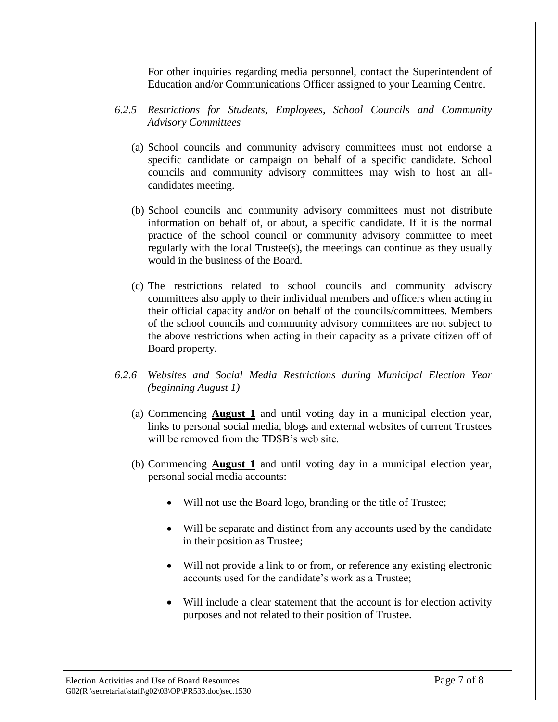For other inquiries regarding media personnel, contact the Superintendent of Education and/or Communications Officer assigned to your Learning Centre.

- *6.2.5 Restrictions for Students, Employees, School Councils and Community Advisory Committees*
	- (a) School councils and community advisory committees must not endorse a specific candidate or campaign on behalf of a specific candidate. School councils and community advisory committees may wish to host an allcandidates meeting.
	- (b) School councils and community advisory committees must not distribute information on behalf of, or about, a specific candidate. If it is the normal practice of the school council or community advisory committee to meet regularly with the local Trustee(s), the meetings can continue as they usually would in the business of the Board.
	- (c) The restrictions related to school councils and community advisory committees also apply to their individual members and officers when acting in their official capacity and/or on behalf of the councils/committees. Members of the school councils and community advisory committees are not subject to the above restrictions when acting in their capacity as a private citizen off of Board property.
- *6.2.6 Websites and Social Media Restrictions during Municipal Election Year (beginning August 1)* 
	- (a) Commencing **August 1** and until voting day in a municipal election year, links to personal social media, blogs and external websites of current Trustees will be removed from the TDSB's web site.
	- (b) Commencing **August 1** and until voting day in a municipal election year, personal social media accounts:
		- Will not use the Board logo, branding or the title of Trustee;
		- Will be separate and distinct from any accounts used by the candidate in their position as Trustee;
		- Will not provide a link to or from, or reference any existing electronic accounts used for the candidate's work as a Trustee;
		- Will include a clear statement that the account is for election activity purposes and not related to their position of Trustee.